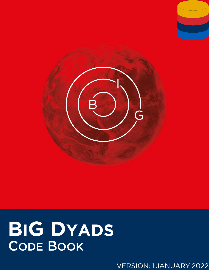



# **BIG DYADS** CODE BOOK

VERSION: 1 JANUARY 2022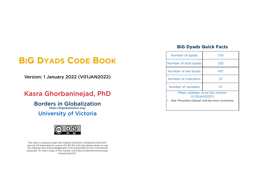# **BIG DYADS CODE BOOK**

Version: 1 January 2022 (V01JAN2022)

# Kasra Ghorbaninejad, PhD

Borders in Globali[z](https://biglobalization.org/ )ation https://biglobalization.org/ University of Victoria



This work is licensed under the Creative Commons Attribution-NonCommercial 4.0 International License (CC BY-NC 4.0) that allows others to use the material with acknowledgement of its authorship for non-commercial purposes. To view a copy of this license, visit http://creativecommons.org/ licenses/by/4.0/.

| Number of dyads                                                                                | 1/0 |  |
|------------------------------------------------------------------------------------------------|-----|--|
| Number of land dyads                                                                           | 333 |  |
| Number of sea dyads                                                                            | 437 |  |
| <b>Number of indicators</b>                                                                    | 27  |  |
| <b>Number of variables</b>                                                                     | 47  |  |
| Major updates since last versio<br>(V.29JAN2021):<br>New 'Mountains Dataset' and few error cor |     |  |
|                                                                                                |     |  |

| Number of dyads                                                                                          | 1/0 |  |
|----------------------------------------------------------------------------------------------------------|-----|--|
| Number of land dyads                                                                                     | 333 |  |
| Number of sea dyads                                                                                      | 437 |  |
| Number of indicators                                                                                     | 27  |  |
| Number of variables                                                                                      | 47  |  |
| Major updates since last version<br>(V.29JAN2021):<br>New 'Mountains Dataset' and few error corrections. |     |  |

## **BiG Dyads Quick Facts**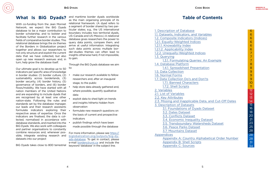#### 4

## **What Is BiG Dyads?**

With co-funding from the Jean Monnet Network, we expect the BiG Dyads database to be a major contribution to border scholarship, and to bolster and facilitate further research in the various fields of comparative border studies. This relational database brings the six themes of the Borders in Globalization project together and allows our researchers to not only structure and exploit the current data that we have collected, but also open up new research avenues and, in turn, help grow the database itself.

Our ultimate goal is to develop up to 50 indicators per specific area of knowledge in border studies: (1) border culture, (2) sustainability across borderlands, (3) border security, (4) border history, (5) governance of borders, and (6) border flows/mobility. We have started with all nation members of the United Nations and are expanding to include dyads that are recognised by at least one other nation-state. Following the rules and standards set by the database manager, our leads and their research assistants formulate indicators exploring their respective areas of expertise. Once the indicators are finalised, the data is col lected, normalised in accordance with database standards, and inserted into the BiG Dyads. We also work with colleagues and partner organisations to constantly combine resources and, whenever pos sible, integrate existing research and datasets into our project

BiG Dyads takes close to 800 terrestrial

and maritime border dyads worldwide as the main organising principle of its relational framework. (A dyad refers to a segment of border shared by two par ticular states; e.g., the US international boundary includes two territorial dyads, US–Canada and US–Mexico.) A relational database gives researchers the power to query data points, compare them, and arrive at useful information. Integrating such data points across multiple bor der-studies themes can often lead to insights otherwise hard, if not impossible, to gain.

Through the BiG Dyads database we aim to:

- make our research available to fellow researchers and, after an inaugural stage, to the public
- help store data already gathered and, where possible, quantify qualitative data
- exploit data to shed light on trends and insights hitherto hidden from observation
- formulate new research questions on the basis of current and prospective indicators
- publish findings which have been made possible through the database

For more information, please see [https://](https://biglobalization.org/outputs/big-dyads-database) [biglobalization.org/outputs/big-dy](https://biglobalization.org/outputs/big-dyads-database) [ads-database.](https://biglobalization.org/outputs/big-dyads-database) To get in contact, please e-mail [borders@uvic.ca](mailto:borders%40uvic.ca?subject=) and include the keyword 'database' in the subject line.

[1. Description of Database](#page-3-0) 1.1. Datasets, Indicators, and \ [1.2. Composite Indicators \(Indices\)](#page-3-0) 1.2.1. Equally-Weighted Indice [1.2.1.1. Knowability Index](#page-3-0) [1.2.1.2. Applicability Index](#page-3-0) [1.2.2. Unequally-Weighted Indices](#page-3-0) [1.3. Querying](#page-3-0) [1.3.1. Formulating Queries: An Example](#page-3-0) [1.4. Database Platform](#page-4-0) [1.4.1. Spreadsheet Presentation](#page-4-0) [1.5. Data Collection](#page-4-0) [1.6. Normal Forms](#page-4-0) [1.7. Data Collection Do's and Don'ts](#page-4-0) [1.7.1. Banned Characters](#page-5-0) [1.7.2. Shell Scripts](#page-5-0) [2. Variables](#page-6-0) [2.1. List of Variables](#page-6-0) [2.2. Key Attributes](#page-6-0) [2.3. Missing and Inapplicable Data, and Cut-Off Dates](#page-7-0) [3. Description of Datasets](#page-7-0) [3.1. Foundations of Dyads Dataset](#page-8-0) [3.2. Dates Dataset](#page-9-0) [3.3. Conflicts Dataset](#page-10-0) [3.4. Economic Inequality Dataset](#page-10-0) [3.5. Transboundary Watersheds Dataset](#page-11-0) [3.6. Peace Parks Dataset](#page-12-0) [3.7. Mountains Dataset](#page-12-0) [Appendices](#page-15-0) [Appendix A: Country Alphabetical Order Number](#page-15-0)

[Appendix B: Shell Scripts](#page-16-0)

[Appendix C: Sources](#page-18-0)

# **Table of Contents**

| Variables |
|-----------|
| dices)    |
| :S        |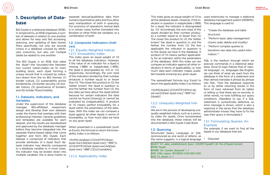## <span id="page-3-0"></span>**1. Description of Database**

BiG Dyads is a relational database (RDB). In simple terms, an RDB organises a number of datasets in relation to one another and allows for easy and fast accessing, querying, and updating of data stored. 1.2. Composite Indicators (Indi-More specifically, not only are records (rows) in a database crossed by attributes (columns), but also can multiple tables be related to one another.

The BiG Dyads is an RDB that takes the 'dyad'—the boundary-line between two current nation-states—as its main<sup>1</sup> building block, each dyad forming a unique record that is crossed by indicators drawn from the six BiG themes: (1) border culture, (2) sustainability across borderlands, (3) border security, (4) border history, (5) governance of borders, and (6) border flows/mobility.

#### 1.1. Datasets, Indicators, and Variables

Under the supervision of the database manager, BiG-affiliated researchers design and develop their own datasets under the theme that overlaps with their professional interests. General guidelines and templates are available for each dataset, and the results are standardised and approved by the database manager before they become integrated into the separate theme-based tables that come together and form BiG Dyads. Each dataset is comprised of indicators that provide attributes of a dyad. Each dataset indicator may directly correspond to a database variable or, in most cases, the indicator may be broken down into multiple variables: this is done mainly to

separate textual/qualitative data from numeric/quantitative data and thus allow easy manipulation of both in querying. For economy of operations, textual data is in certain cases further translated into Boolean or other finite-set variables, or a combination of both.

> of the database. With this index we can compare an indicator against all other indicators in terms of applicability, i.e. how much data each indicator makes availa-The spreadsheet formula (e.g. Excel) to return the applicability index is as follows: =SUM([dyads]-(COUNTIF(H[first-dy-We are in the process of developing unequally-weighted indices such as a poros-SQL is the medium through which we execute commands in a relational database. Since its logic follows that of 'natural language', i.e., languages like English, we can think of what we want from the database in the form of a statement and then almost translate it phrase by phrase into SQL. Then the database responds to us by either returning results in the form of rows retrieved from its tables or telling us that there are no records, in other words, no rows fulfilling our query conditions. (Needless to say, if a SQL statement is syntactically defective, an error message is shown, which is also a response in the sense that the database administrator knows they have to fix the way their query is formulated.) $3$

# ces)

#### 1.2.1. Equally-Weighted Indices 1.2.1.1. Knowability Index

This index gives an equal weight of 1.0 all the database dyads. However, if the indicator in question is inapplicable (-999) for a dyad, the indicator is downgraded by -1.0. Accordingly, the sum total of the dyads divided by their number produces a number equal to or lesser than 1.0. The closer this product to 1.0, the 'better known' the dyad in question is; and the farther the number from 1.0, the less applicable the indicator in question is to the dyads we have in the database. A product of 1.0 means perfect applicability for an indicator within the parameters ble towards knowing any given dyad.

This index gives an equal weight of 1.0 to all the database indicators. However, if the value of an indicator for a dyad is missing (-888) or inapplicable (-999), the dyad is downgraded by -0.5 or -1.0, respectively. Accordingly, the sum total of the indicators divided by their number produces a number equal to or lesser than 1.0. The closer this product to 1.0, the 'better known' the dyad in question is; and the farther the number from 1.0, the less data we have about the dyad (either because for certain indicators the data cannot be found [missing] or cannot be evaluated by [inapplicable]). A product of 1.0 means perfect knowability for a dyad within the parameters of the database. With this index we can compare a dyad against all other dyads in terms of knowability, i.e. how much data we have on any given dyad.

> SELECT `H1\_date\_establishment\_basic`, COUNT(`DyadID`) AS `No of Dyads Formed` FROM `Dyads` WHERE `Se1 border\_disputed` =  $1$ AND `UNG\_region` BETWEEN 3100 AND 3599  $AND$  `F2\_desert` != 1

When presented in a spreadsheet (such as Excel), the formula to return the knowability index is as follows:

=SUM([variables]-(COUNTIF(H[lastdyad-row]:AQ[last-dyad-row],"-999"))- ((COUNTIF(H[last-dyad-row]:AQ[lastdyad-row],"-888")/2)))/[variables]

1.2.1.2. Applicability Index

ad-row]:H[last-dyad-row],"-999")))/ [dyads]

#### 1.2.2. Unequally-Weighted Indices

ity index for dyads. Once incorporated into the database, these indices will be documented in BiG Dyads Code Book.

#### 1.3. Querying

Structured Query Language or SQL (pronounced as one word or letters), as the name suggests, is a logical language

| to used extensively to manage a relational |
|--------------------------------------------|
| n- database management system (RDBMS).     |

- This language is used to:
- 
- "Create the database and table structures
- "Perform basic data management chores (add, delete and modify)
- "Perform complex queries to
- transform raw data into useful information."2
- 

#### 1.3.1. Formulating Queries: An Example

For example, if we want to find all the dyads in our database that are:

- 
- Disputed
-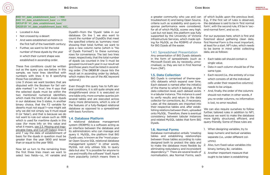- Located in Asia
- Not crossed by a desert
- And were established sometime in the first half of the twentieth century;
- Further, we want to list the total number of these dyads by the year in which their current shape was established in ascending order.

These five conditions could be written out as the query you see below. In this sample, we have lines identified with numbers with lines 4 to 8 specifying those five conditions:

Line 3 shows we want borders that are disputed with the Boolean for Se1 variable marked 1 or 'true'; line 4 says that the selected dyads must be within the two mentioned numerical identifiers, which mark the limits of all Asian dyads in our database; line 5 states, in another binary choice, that the F2 variable for deserts must not equal 1—one might ask why we did not simply say it must equal 0 (or 'false'), and that is because we do not want to rule out values such as -999 which is used for maritime dyads in this case (for more info on this value and what it means, see 2.3. Missing and Inapplicable Data, and Cut-off Dates); lines 6 and 7 say the date of establishment of basic for the dyads in question must be greater than the year 1900 and lesser than or equal to the year 1950.

Now let us turn to the remaining lines: the first three lines mean we want to select two fields—i.e., H1 variable and a greater community who use and can troubleshoot it) and being Open Sourc criteria such as scalability and query-response performance were considere for all of which MySQL scores very high-Last but not least, this platform was full supported by the University of Victor Infrastructure Services, which made opting for MySQL as the RDBMS of choid for BiG Dyads all the easier.

DyadID—from the 'Dyads' table in our database. On line 1, we also want to count the number of DyadIDs that meet the specified criteria as 'summary rows' showing their total; further, we want to give a new column name (which is "No of Dyads Formed") to these summary rows for convenience. The last two lines mean, respectively, that the total number of dyads (as counted in line 1) must be grouped round each year in our result set and those years must be listed in ascending order. (The ORDER BY clause lists the result set in ascending order by default, which makes the use of the ASC keyword optional.)

Any presentation of BiG Dyads dataset in the form of spreadsheets (such Microsoft Excel) are, by necessity, unne rmalised, i.e. they are not in First Norm Form (1NF).

BiG Dyads is comprised of theme-spe cific datasets which expand over time. Each dataset is named after the initial of the theme to which it belongs. At the data collection level, each dataset exist in a tabular instance. This instance is use to verify results and return to the dat collector for corrections, &c, if necessary Later, all the datasets are imported into their respective tables and, after estal lishing relations between them, uploade onto MySQL. Therefore, there is eventual consistency between tabular instance and related MySQL tables that form Bi Dyads.

Even though this query has to fulfil several conditions, it is still quite simple and straightforward since it is executed on one table only; more complex queries join several tables and are executed across many more dimensions, which is one of the features of a fully-fledged relational database as opposed to a spreadsheet with basic functions.

#### 1.4. Database Platform

A relational database management system (RDBMS) is a software acting as an interface between the database and its administrators who can manage and query it. MySQL, the platform that BiG Dyads uses, is known as the "most popular Open Source SQL relational database management system." In other words, MySQL not only utilises SQL to query data but also "it is possible for anyone to use and modify the software" itself. Apart from popularity (which means there is

#### 1.4.1. Spreadsheet Presentation

#### 1.5. Data Collection

#### 1.6. Normal Forms

Database normalisation entails "creating tables and establishing relationship between those tables according to rule designed both to protect the data and to make the database more flexible by eliminating redundancy and inconsister dependency."<sup>4</sup> There are several levels normalisation, aka Normal Forms, each

| an<br>æ,<br>e-<br>٠d,<br>۱h.                   | of which builds upon the previous level.<br>E.g., if the first set of rules is observed,<br>the database is said to be in 'first normal<br>form', with the second rule, it'll be in 'sec-<br>ond normal form', and so on.                       |
|------------------------------------------------|-------------------------------------------------------------------------------------------------------------------------------------------------------------------------------------------------------------------------------------------------|
| lly<br>ria<br>pt-<br>ce                        | For our purposes here, which is first and<br>foremost about gathering clean data,<br>first Normal Form is the most important,<br>at least for a start. NF1 rules, which needs<br>to be borne in mind whilst collecting<br>data, are as follows: |
| ets:<br>as<br>О-<br>ıal                        | Each table cell should contain a<br>single value.                                                                                                                                                                                               |
| e-<br>۱e.                                      | Data in each column should be of the<br>same type.<br>Each record (i.e., the entirety of a row<br>which consists of all the individual                                                                                                          |
| $\mathcal{S}$<br>he<br>its<br>эd<br>ita<br>ry. | cells under their respective columns)<br>needs to be unique.<br>And, finally, the order of the columns<br>should not matter; in other words, if<br>you re-order columns, no information<br>is lost, no error resulted.                          |
| to<br>b-<br>эq<br>ıal<br>es<br>iG              | We can also require ourselves to follow<br>further, tailored rules in addition to NF1,<br>because we want to make the database<br>more tightly structured, efficient, and<br>query-friendly. Some of these rules are:                           |
| ٦g<br>рs<br>es                                 | When designing variables, try to<br>1.<br>keep numeric and textual variables<br>separate (i.e., under different col-<br>umns).                                                                                                                  |
| ٦d<br>ĴУ<br>nt<br>оf                           | Also, turn fixed-value variables into<br>2.<br>binary, tertiary, &c, variables.<br>3. Another important measure that                                                                                                                            |

ought to be taken is establishing:

#### <span id="page-4-0"></span>AND `H1\_date\_establishment\_basic` > 1900 AND `H1\_date\_establishment\_basic` <= 1950 GROUP BY `H1\_date\_establishment\_basic` ORDER BY `H1\_date\_establishment\_basic` ASC;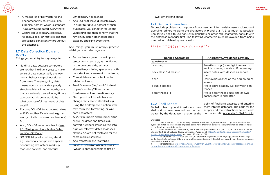#### BiG Dyads Code Book

- <span id="page-5-0"></span>A master list of keywords for the phenomena you study (e.g., geographical names) which is standard PLUS always updated everywhere;
- Controlled vocabulary, especially for textual (i.e., string) variables that are utilised consistently throughout the database.

#### 1.7. Data Collection Do's and Don'ts

Things you must try to stay away from:

• And DO NOT leave duplicate rows. In order to rid your dataset of such duplicates, you can filter for unique values first and then confirm that the rows in question are indeed duplicates by checking everything.

- No dirty data, because computers are not that intelligent (yet) to make sense of data contextually the way human beings can pick out signal from noise. Therefore, dirty data means inconsistent and/or poorly structured data: in other words, data that is carelessly treated. A legitimate question at this point would be: what does careful treatment of data entail?
- For one, DO NOT treat dataset tables as if it's another Excel sheet: e.g., no empty middle rows used as 'headers', &c;
- Also, DO NOT leave cells blank (see 2.3. Missing and Inapplicable Data, and Cut-Off Dates).
- DO NOT let pre-formatting stand: e.g., seemingly benign extra spaces, nonprinting characters, mark-up tags, and so forth, can all cause

unnecessary headaches;

And things you must always practise whilst you are collecting data:

> 2 Adrienne Watt and Nelson Eng, Database Design - 2nd Edition (Victoria, BC: BCcampus, 2014): Chapter 15. SQL Structured Query Language. Available at: https://opentextbc.ca/dbdesign01/chapter/ sql-structured-query-language/. Accessed 27 March 2021. The precursor to SQL was SEQUEL, or Standard English QUEry Language, which further highlights the affinity between SQL and natural language (primarily English but broadly any human language translatable into English).

- Be precise and, even more importantly, consistent: e.g., as mentioned in the previous slide, extra or, alternatively, missing spaces are both important and can result in problems;
- Consolidate same content under related columns;
- Treat Booleans (i.e., 1 and 0 instead of yes/Y and no/N) and other fixed-value columns meticulously;
- Next, you should spell-check and change text case to standard: e.g., using the find/replace function with text, formulae, formatting, or wildcard characters;
- Also, fix numbers and number signs as well as dates and times: e.g., convert numbers stored as text into digits or reformat dates so dashes, slashes, &c, are not mistaken for the same marks elsewhere;
- And transform and rearrange columns and rows when necessary (which is only applicable to flat or

Microsoft Docs: https://docs.microsoft.com/en-us/office/troubleshoot/access/database-normalization-description#normalizing-an-example-table

| <b>Banned Characters</b>         |
|----------------------------------|
| apostrophe '                     |
| , comma                          |
| back slash $\setminus$ & slash / |
| dash -                           |
| double spaces                    |
| parentheses ()                   |

| <b>Banned Characters</b>         | Alternative/Avoidance Strategy                                              |
|----------------------------------|-----------------------------------------------------------------------------|
| apostrophe '                     |                                                                             |
| , comma                          | Rewrite string (non-digit) values to<br>avoid commas; use dash if necessary |
| back slash $\setminus$ & slash / | Insert dates with dashes as separa-<br>tors                                 |
| dash -                           | Only avoid dashes at the beginning of<br>values                             |
| double spaces                    | Avoid extra spaces, e.g. between sen-<br>tences                             |
| parentheses ()                   | Avoid parentheses; use one or two<br>dashes before and after                |

1.7.2. Shell Scripts To help clean up and insert data, new shell scripts have been written that can be run by the database manager at the point of finalising datasets and entering them into the database. The code for the scripts and the instructions to run each can be found in Appendix B: Shell Scripts.

#### Endnotes

1 There are other, complementary datasets which are organised around objects other than the dyad. For instance, watersheds or peace parks have their own datasets in separate tables that are related to the dyad-based datasets.

two-dimensional data).

#### 1.7.1. Banned Characters

To preclude problems at the point of data insertion into the database or subsequent querying, adhere to using the characters 0–9 and a–z, A–Z as much as possible. Should you need to use non-Latin alphabets or other rare characters, consult with the database manager first. The following characters must be avoided from being inserted into dataset spreadsheets:

#### ?!#\$&  $69'$  ( ) [ ] { } \* | + , - . / : ; < = > @ ^ ` ~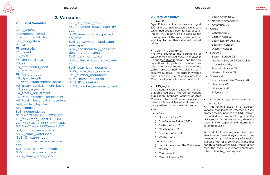<span id="page-6-0"></span>2.1. List of Variables

jSu8\_ID\_peace\_park nSu9\_number\_peace\_park\_dyads Su10\_transboundary\_protected\_area Su11\_conservation\_landscape seascape Su12\_transboundary\_conservation migration area Su13 park for peace Su14 total size protected areas Su15\_year\_legal\_document Su16\_name\_legal\_document FM1\_number\_mountains nFM2\_name\_mountain jFM3\_ID\_mountain nFM4\_number\_mountain\_dyads

UNG\_region Interregional\_dyad Intercontinental\_dyad UN recognition Media F1 terrestrial F<sub>2</sub> desert F3 river F4 territorial sea F5\_eez F6 continental shelf F7\_feature F8 feature type F9\_dyad\_length H1\_year\_establishment\_basic H2\_treaty\_establishment\_basic H3\_year\_adjustment H4\_treaty\_adjustment H5 year historical antecedent H6 treaty historical antecedent Se1 border disputed Se2\_conflict Se3\_independence G1\_YYYYGDPs\_Const2010USD G2\_YYYYratio\_Const2010USD G3\_YYYYGDPs\_PPPCurrentUSD G4\_YYYYratio\_PPPCurrentUSD Su1\_number\_watersheds nSu2\_name\_watershed jSu3\_ID\_watershed nSu4\_number\_watershed\_dyads Su5\_total\_size\_watersheds Su6\_number\_peace\_parks nSu7\_name\_peace\_park

DyadID is an ordinal number starting 1001 and assigned to each dyad record which had already been ranked accord ing to UNG region. This is used as the primary key<sup>1</sup> of the main table and foreign key<sup>2</sup> to the other individual dataset tables.

#### • Country 1, Country 2

The two countries the boundaries which form a distinct dyad. Each dyad unique (see DyadID above), and the or repetitions of dyads occurs when on dyad is terrestrial and the other maritin (which are assigned two distinct, consecutive DyadIDs). The order in which dyad is defined—Country 1-Country 2 Country 2-Country 1— is not significant.

#### • UNG region

This categorisation is based on the G ographic Regions of the United Nation publication "Standard Country or Area Codes for Statistical Use," originally published as Series M, No. 49 and now commonly referred to as the M49 standard.

- World
- Africa: 1
- Northern Africa: 11
- ◊ Sub-Saharan Africa (12–15)
- Eastern Africa: 12
- Middle Africa: 13
- Southern Africa: 14
- \* Western Africa: 15
- Americas: 2
- ◊ Latin America and the Caribbean (21–23)
- Caribbean: 21
- Central America: 22

#### **2. Variables** 2.2. Key Attributes

#### • DyadID

An Interregional\_dyad is a Boolean variable that indicates whether a dyad crosses the boundaries of a UNG\_region. If the first and second 2 digits of the UNG\_region is non-repeating, then the dyad is inter-regional and Interregional dyad equals 1.

| at<br>ırd<br>d-<br>he<br>or-<br>et | $\ast$<br>South America: 23<br>$\ast$<br>Northern America: 24<br>$\ast$<br>Antarctica: 29<br>Asia: 3<br>$\ast$<br>Central Asia: 31<br>$\ast$<br>Eastern Asia: 32<br>$\ast$<br>South-Eastern Asia: 33 |  |
|------------------------------------|------------------------------------------------------------------------------------------------------------------------------------------------------------------------------------------------------|--|
|                                    | $\ast$<br>Southern Asia: 34                                                                                                                                                                          |  |
|                                    | $\ast$<br>Western Asia: 35                                                                                                                                                                           |  |
| Οf                                 | Europe: 3                                                                                                                                                                                            |  |
| l is                               | *<br>Eastern Europe: 36                                                                                                                                                                              |  |
| ٦ly                                | *<br>Northern Europe: 37 (including                                                                                                                                                                  |  |
| ne                                 | Channel Islands)                                                                                                                                                                                     |  |
| ne<br>n-                           | $\ast$<br>Southern Europe: 38                                                                                                                                                                        |  |
| ı a                                | $\ast$<br>Western Europe: 39                                                                                                                                                                         |  |
| VS                                 | Oceania: 4                                                                                                                                                                                           |  |
| t.                                 | $\ast$<br>Australia and New Zealand: 41                                                                                                                                                              |  |
|                                    | $\ast$<br>Melanasia: 42                                                                                                                                                                              |  |
| ie-                                | $\ast$<br>Micronesia: 43                                                                                                                                                                             |  |
| ns                                 | $\ast$<br>Polynesia: 44                                                                                                                                                                              |  |
| ea<br>b-<br>m-                     | Interregional dyad and Interconti-<br>nental_dyad                                                                                                                                                    |  |

A handful of inter-regional dyads are also intercontinental dyads when they cross not only the boundary of a region but also that of a continent. If the first and third digits of the UNG\_region differ, then the dyad is intercontinental and Intercontinental\_dyad equals 1.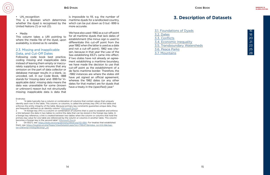#### <span id="page-7-0"></span>• UN recognition

whether the dyad is recognised by the United Nations (1) or not (0).

#### • Media

This column takes a URI pointing to where the media file of the dyad, upon availability, is stored as its variable.

#### 2.3. Missing and Inapplicable Data, and Cut-Off Dates

We have also used -1982 as a cut-off point for all maritime dyads that lack dates of establishment (the minus sign is used to differentiate this cut-off point from the year 1982 when the latter is used as a date and not a cut-off point). 1982 was chosen, because in that year the Law of the Sea establishing EEZ's came into effect. If two states have not already an agreement establishing a maritime boundary, we have made the decision to use that cut-off point as the establishment of a de facto maritime border. Therefore, the -1982 instances are where the states still have yet signed an official agreement, whereas the 1982 dates (or any other dates for that matter) are for dyads that have a treaty in the (specified) year.<sup>3</sup>

This is a Boolean which determines maritime dyads for a landlocked country, is impossible to fill, e.g. the number of which can be put down as 0 but -999 is more accurate.

Following code book best practice, coding missing and inapplicable data instead of leaving them empty or inaccurately supplying a zero ensures that any omission on the part of data collector or database manager results in a blank, i.e. uncoded, cell. In our Code Book, -888 stands for 'missing data' and -999 for 'inapplicable data': missing data means the data was unavailable for some (known or unknown) reason but not structurally missing; inapplicable data is data that

[3.1. Foundations of Dyads](#page-8-0) [3.2. Dates](#page-9-0) [3.3. Conflicts](#page-10-0) [3.4. Economic Inequality](#page-10-0) [3.5. Transboundary Watersheds](#page-11-0) [3.6. Peace Parks](#page-12-0) 3.7. Mountains

# **3. Description of Datasets**

#### Endnotes

1 "A table typically has a column or combination of columns that contain values that uniquely identify each row in the table. This column, or columns, is called the primary key (PK) of the table and enforces the entity integrity of the table. Because primary key constraints guarantee unique data, they are frequently defined on an identity column" ([Microsoft Docs](https://docs.microsoft.com/en-us/sql/relational-databases/tables/primary-and-foreign-key-constraints?view=sql-server-ver15)).

2 "A foreign key (FK) is a column or combination of columns that is used to establish and enforce a link between the data in two tables to control the data that can be stored in the foreign key table. In a foreign key reference, a link is created between two tables when the column or columns that hold the primary key value for one table are referenced by the column or columns in another table. This column becomes a foreign key in the second table" [\(Microsoft Docs](https://docs.microsoft.com/en-us/sql/relational-databases/tables/primary-and-foreign-key-constraints?view=sql-server-ver15)).

3 On EEZ's, see: https://stats.oecd.org/glossary/detail.asp?ID=884. For treaties that established them, see: https://treaties.un.org/Pages/ViewDetailsIII.aspx?src=TREATY&mtdsg\_no=XXI-6&chapter=21&Temp=mtdsg3&clang=\_en

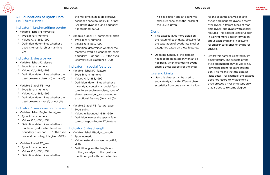<span id="page-8-0"></span>

#### 3.1. Foundations of Dyads Dataset (Theme: N/A)

#### Indicator 1: land/maritime border

- Variable 1 label: F1 terrestrial
- Type: binary numeric
- Values: 0, 1; -888, -999
- Definition: determines whether a dyad is terrestrial (1) or maritime (0).

### Indicator 2: desert/river

- Variable 1 label: F4\_territorial\_sea
- Type: binary numeric
- Values: 0, 1; -888, -999
- Definition: determines whether a maritime dyad is a territorial sea boundary (1) or not (0). (If the dyad is a land boundary, it is given -999.)
- Variable 2 label: F5 eez
- Type: binary numeric
- Values: 0, 1; -888, -999
- Definition: determines whether
- Variable 1 label: F2\_desert
- Type: binary numeric
- Values: 0, 1; -888, -999
- Definition: determines whether the dyad crosses a desert (1) or not (0).
- Variable 2 label: F3\_river
- Type: binary numeric
- Values: 0, 1; -888, -999
- Definition: determines whether the dyad crosses a river (1) or not (0).

#### Indicator 3: maritime boundaries

- Variable 1 label: F9\_dyad\_length
	- Type: numeric
- Values: natural numbers > o; -888, -999
- Definition: gives the length in km of the given dyad. If the dyad is a maritime dyad with both a territo-

the maritime dyad is an exclusive economic zone boundary (1) or not (0). (If the dyad is a land boundary, it is assigned -999.)

- Variable 3 label: F6\_continental\_shelf
- Type: binary numeric
- Values: 0, 1; -888, -999
- Definition: determines whether the maritime dyad is a continental shelf boundary (1) or not (0). (If the dyad is terrestrial, it is assigned -999.)

### Indicator 4: special features

- Variable 1 label: F7 feature
- Type: binary numeric
- \* Values: 0, 1; -888, -999
- Definition: determines whether a given dyad contains a special feature, i.e. an enclave/exclave, zone of shared sovereignty, or some other exceptional feature, (1) or not (0).
- Variable 2 label: F8\_feature\_type
- Type: string
- Values: unbounded; -888, -999
- Definition: names the special feature corresponding to F7 feature.

#### Indicator 5: dyad length

rial sea section and an economic exclusive zone, then the length of the EEZ is given.

#### Design

- This dataset gives more detail on the nature of each dyad, allowing for the separation of dyads into smaller categories based on these features.
- Updating Schedule: this dataset needs to be updated only on an ad hoc basis, when changes to dyads change these aspects of the dyad.

## Use and Limits

• Use: this dataset can be used to separate dyads with different characteristics from one another. It allows for the separate analysis of land dyads and maritime dyads, desert/ river dyads, different types of maritime dyads, and dyads with special features. This dataset is helpful both in gaining more detail information about each dyad and in allowing for smaller categories of dyads for analysis.

• Limits: this dataset is limited by its binary nature. The aspects of the dyad are marked only as yes or no, leaving no room for extra information. This means that the dataset lacks detail—for example, the dataset does not record to what extent a dyad crosses a river or desert, only that it does so to some degree.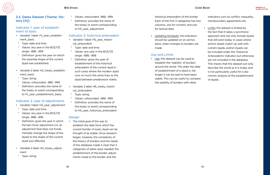### <span id="page-9-0"></span>3.2. Dates Dataset (Theme: History [H])

#### Indicator 1: year of establishment of basic

- Variable 1 label: H1\_year\_establishment basic
- \* Type: date and time
- Values: any year in the BCE/CE range; -888, -999
- Definition: gives the year on which the essential shape of the current dyad was established.
- Variable 2 label: H2 treaty establishment basic
- \* Type: string
- Values: unbounded; -888, -999
- Definition: provides the name of the treaty or event corresponding to H1\_year\_establishment\_basic.
- Values: unbounded; -888, -999
- Definition: provides the name of the treaty or event corresponding to H3\_year\_adjustment.

## Indicator 2: year of adjustments

- Variable 1 label: H3\_year\_adjustment
- Type: date and time
- Values: any year in the BCE/CE range; -888, -999
- Definition: gives the year in which the last minor adjustment (i.e. an adjustment that does not fundamentally change the shape of the dyad) to the shape of the current dyad was effected.
- Variable 2 label: H4\_treaty\_adjustment
- \* Type: string

#### Indicator 3: historical antecedent

- Variable 1 label: H5\_year\_historical\_antecedent
- Type: date and time
- Values: any year in the BCE/CE range; -888, -999
- Definition: gives the year of establishment of the historical antecedent of the current dyad in such cases where the modern dyad runs on much the same lines as the dyad between predecessor states.
- Variable 2 label: H6\_treaty\_historical\_antecedent
- \* Type: string
- Values: unbounded; -888, -999
- Definition: provides the name of the treaty or event corresponding to H5\_year\_historical\_antecedent.

#### Design

• The initial goal of the was to establish the date from which the current border of every dyad can be thought of as stable. Once research began, however, the complexity of the history of borders and the needs of the database made it clear that 3 categories of dates were needed: the establishment of the border, adjustments made to the border, and the

- historical antecedent of the border. Each of the first 3 categories has two columns, one for numeric and one for textual data.
- Updating Schedule: the indicators should be updated on an ad hoc basis, when changes to borders are made.

## Use and Limits

• Use: this dataset can be used to establish the 'stability' of borders around the world. The older the date of establishment of a dyad is, the longer it can be said to have been stable. This can be useful to compare the stability of borders with other

indicators such as conflict, inequality, transboundary agreements etc.

• Limits: the dataset is limited by the fact that it takes a synchronic approach and can only include dyads that still exist today. In cases where extinct dyads match up well with current dyads, extinct dyads can be included under the 'Historical Antecedents' indicator, but otherwise are not included in the database. This means that the dataset can only describe the world as it is today, and is not particularly useful for a diachronic analysis of the establishment of dyads.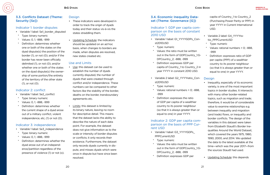## <span id="page-10-0"></span>3.3. Conflicts Dataset (Theme: Security [Se])

#### Indicator 1: border disputes

- Variable 1 label: Se1 border disputed
- Type: binary numeric
- Values: 0, 1; -888, -999
- Definition: determines whether one or both of the states on the dyad dispute(s) the position of the border (1), or not (0); and/or if the border has never been officially delimited (1), or not (0); and/or whether one or both of the states on the dyad dispute(s) the ownership of some portion/the entirety of the territory of the other state (1), or not (0).

- Variable 1 label: Se3 independence
- Type: binary numeric
- Values: 0, 1; -888, -999
- Definition: determines whether the dyad arose out of an independence/partition regardless of the presence of violence (1) or not (o).

#### Indicator 2: conflict

- Variable 1 label: Se2\_conflict
- Type: binary numeric
- Values: 0, 1; -888, -999
- Definition: determines whether the current shape of a dyad arose out of a military conflict, violent independence, etc, (1) or not (0).

#### Indicator 3: independence

#### Design

- These indicators were developed in order to track the origin of dyads today and their status vis-à-vis the states straddling them.
- Updating Schedule: the indicators should be updated on an ad hoc basis, when changes to borders are made, when disputes are resolved, new states created etc.

#### Use and Limits

- 
- 
- DPCountry\_2; -888, -999
- Definition: expresses GDP per
- Use: this dataset can be used to establish the number of dyads currently disputed, the number of dyads that were created through conflict and/or independence. These numbers can be compared to other factors like the stability of the border, deaths on the border, transboundary agreements etc.
- Limits: this dataset is limited by its binary nature, leaving no room for descriptive detail. This means that the dataset lacks the ability to describe the nature of each data point. For example, the dataset does not give information as to the scale or intensity of border disputes or conflicts; it only records their existence. Furthermore, the dataset only records dyads currently in dispute, and misses dyads which were once in dispute but have since been resolved.
- Variable 1 label: G1\_YYYYGDPs\_Const2010USD
- \* Type: numeric
- Values: the ratio must be written out in the form of GDPCountry\_1:G-DPCountry\_2; -888, -999
- Definition: expresses GDP per capita of Country\_1 to Country\_2 in year YYYY in constant 2010 USD. Definition: expresses ratio of GDP per capita (PPP) of a wealthier country to its poorer neighbour (so that it is always greater than or equal to one) in year YYYY.
- Variable 2 label: G2\_YYYYratio\_Const2010USD **Design**
- 
- Type: numeric \* Values: rational numbers > 0; -888, -999 Definition: expresses the ratio of GDP per capita of a wealthier country to its poorer neighbour (so that it is always greater than or equal to one) in year YYYY. Indicator 2: GDP per capita comparison on the basis of PPP Cur-• Variable 1 label: G3\_YYYYGDPs\_ PPPCurrentUSD \* Type: numeric Values: the ratio must be written out in the form of GDPCountry\_1:G-• Inequality, especially of its economic variety, is one of the most important topics in border studies. It intersects with many other border-related topics, such as migration and trade; therefore, it would be of considerable value to examine relationships e.g. between inequality and migration (and trade) flows, or inequality and border conflicts. The design of the variables in this dataset were taken from Elizabeth Staudt's Border Inequalities Around the World Dataset, which covered the years 1975, 1980, 1990, 2000, and 2014. We updated the data to the latest available at the time—which was the year 2017—from the sources Staudt had used.
	-

#### 3.4. Economic Inequality Dataset (Theme: Governance [G])

#### Indicator 1: GDP per capita comparison on the basis of constant 2010 USD

# rent USD

capita of Country\_1 to Country\_2 (Purchasing Power Parity or PPP) in year YYYY in Current International USD.

- 
- Variable 2 label: G4\_YYYYratio\_PPPCurrentUSD
	- \* Type: numeric
	- Values: rational numbers > 0; -888, -999

• Updating Schedule: this depends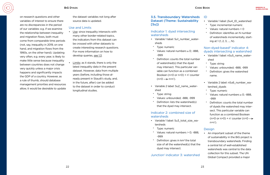<span id="page-11-0"></span>on research questions and other variables of interest to ensure there are no discrepancies in the period of our variables: e.g. if we examine the relationship between inequality and migration flows, both must come from comparable time periods (not, say, inequality in 2019, on one hand, and migration flows from the 1990s, on the other hand). Updating very often, e.g. every year, is likely to make little sense because inequality between countries does not change very quickly unless a major crisis happens and significantly impacts the GDP of a country. However, as a rule of thumb, should database management priorities and resources allow, it would be desirable to update

#### 3.5. Transboundary Watersher Dataset (Theme: Sustainabilit [Su])

the dataset variables not long after source data is updated.

#### Use and Limits

- Variable 1 label: Su1\_number\_water sheds
- \* Type: numeric
- \* Values: natural numbers ≥ 0; -888, -999
- Definition: counts the total num of watershed(s) that the dyad may intersect. This particular variable can function as a combined Boolean ( $n=0$  or  $n>0$ ) + n' count  $(n>0 \rightarrow n=n')$ .
- Variable 2 label: Su2\_name\_water shed
- \* Type: string
- Values: unbounded; -888, -999
- \* Definition: lists the watershed(s) that the dyad may intersect.
- Use: since inequality intersects with many other border-related topics, the indicators from this dataset can be crossed with other datasets to create interesting research questions. For more information on how to develop queries, see 1.3.
- Limits: as it stands, there is only the latest inequality data in the present dataset. However, data from multiple years (before, including those already present in Staudt's study, and, in the future, after) can be added to the dataset in order to conduct longitudinal studies.

- Variable 1 label: Su3\_total\_size\_w tersheds
- \* Type: numeric
- Values: natural numbers > 0; -88 -999
- \* Definition: gives in km2 the total size of all the watershed $(s)$  that dyad may intersect.

Junction<sup>1</sup> indicator 3: watershed

#### Indicator 1: dyad intersecting watersheds

#### Indicator 2: combined size of watersheds

| :ds  | ID                                                                                                                                                             |
|------|----------------------------------------------------------------------------------------------------------------------------------------------------------------|
| ty   | Variable 1 label: jSu4 ID watershed<br>$\ast$<br>Type: incremental numeric<br>$\ast$<br>Values: natural numbers > 0<br>*<br>Definition: identifies an N number |
| er-  | of watersheds incrementally, start-<br>ing at 1 (1, 2, 3, , N).                                                                                                |
| 38,  | Non-dyad-based <sup>2</sup> indicator 4:<br>dyads intersecting a watershed                                                                                     |
| ıber | Variable 1 label: nSu5_name_water-<br>shed                                                                                                                     |
|      | $\ast$<br>Type: string                                                                                                                                         |
| ır-  | $\ast$<br>Values: unbounded; -888, -999                                                                                                                        |
| d:   | $\ast$<br>Definition: gives the watershed                                                                                                                      |
| ıter | name.                                                                                                                                                          |
|      | Variable 2 label: nSu6_number_wa-                                                                                                                              |
| r-   | tershed_dyads                                                                                                                                                  |
|      | *<br>Type: numeric                                                                                                                                             |
|      | $\ast$<br>Values: natural numbers $\geq$ 0; -888,<br>-999                                                                                                      |
| )    | $\ast$<br>Definition: counts the total number<br>of dyads the watershed may inter-                                                                             |
|      | sect. This particular variable can                                                                                                                             |
|      | function as a combined Boolean                                                                                                                                 |
|      | $(n=0 \text{ or } n>0) + n' \text{ counter } (n>0 \rightarrow$                                                                                                 |
| /a-  | $n=n$ ).                                                                                                                                                       |
|      | Design                                                                                                                                                         |
| 88,  | An important subset of the theme                                                                                                                               |
|      | of sustainability in the BiG project is                                                                                                                        |
|      | transboundary watersheds. Finding                                                                                                                              |
| the  | a central list of well-established                                                                                                                             |

watersheds was central to the data collection for this subset. The UN Global Compact provided a major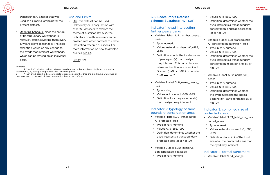#### BiG Dyads Code Book

<span id="page-12-0"></span>

transboundary dataset that was used as a jumping-off point for the present dataset.

- Use: this dataset can be used individually or in conjunction with other Su-datasets to explore the theme of sustainability. Also, the indicators from this dataset can be crossed with other datasets to create interesting research questions. For more information on how to develop queries, see 1.3.
- Limits: N/A.

• Updating Schedule: since the nature of transboundary watersheds is relatively stable, revisiting them every 10 years seems reasonable. The clear exception would be any change to the dyads that intersect watersheds, which can be revised on an individual basis.

#### Use and Limits

#### Endnotes

- Variable 1 label: Su7\_number\_peace parks
- \* Type: numeric
- Values: natural numbers  $\geq$  0; -888, -999
- \* Definition: counts the total number of peace park(s) that the dyad may intersect. This particular variable can function as a combined Boolean (n=0 or n>0) + n' counter  $(n>0 \rightarrow n=n')$ .
- Variable 2 label: Su8\_name\_peace\_ park
- \* Type: string
- Values: unbounded; -888, -999
- Definition: lists the peace park(s) that the dyad may intersect.

1 A 'junction' indicator bridges between two database tables (e.g. Dyads table and a non-dyad -based table) by pairing their primary keys, hence the prefix 'j'.

2 A 'non-dyad-based' indicator/variable takes an object other than the dyad (e.g. a watershed or peace park) as its main principle of organisation, hence the prefix 'n'.

- Variable 1 label: Su9 transboundary\_protected\_area
- \* Type: binary numeric
- Values: 0, 1; -888, -999
- Definition: determines whether the dyad intersects a transboundary protected area (1) or not (0).
- Variable 2 label: Su10\_conservation landscape seascape
- \* Type: binary numeric

#### 3.6. Peace Parks Dataset (Theme: Sustainability [Su])

#### Indicator 1: dyad intersecting further peace parks

- Values: 0, 1; -888, -999
- Definition: determines whether the dyad intersects a transboundary conservation landscape/seascape (1) or not (0).
- 
- Variable 3 label: Su11\_transboundary conservation migration area
- Type: binary numeric
- Values: 0, 1; -888, -999
- Definition: determines whether the dyad intersects a transboundary conservation migration area (1) or not (0).
- Variable 4 label: Su12 parks for peace
- Type: binary numeric
- Values: 0, 1; -888, -999
- Definition: determines whether the dyad intersects the special designation 'parks for peace' (1) or not (0).

#### Indicator 2: typology of transboundary conservation areas

#### Indicator 3: combined size of protected areas

- Variable 1 label: Su13\_total\_size\_protected\_areas
- \* Type: numeric
- \* Values: natural numbers > 0; -888, -999
- \* Definition: states in km2 the total size of all the protected areas that the dyad may intersect.

#### Indicator 4: formal agreement

• Variable 1 label: Su14\_year\_le-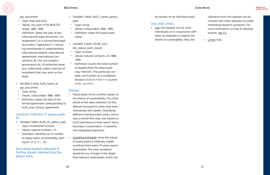gal\_document

- Type: date and time
- Values: any year in the BCE/CE range; -888, -999
- Definition: states the year of any informal/soft legal document ("arrangement") or a formal/hard legal document ("agreement")—including memoranda of understanding, international treaties, international agreements, international conventions, &c—for the creation, governance, &c, of protected areas (e.g. watersheds, parks, reserves of biosphere) that may exist on the dyad.
- Variable 2 label: Su15\_name\_legal\_document
- Type: string
- Values: unbounded; -888, -999
- Definition: states the title of the formal agreement corresponding to Su14\_year\_formal\_agreement.
- Variable 1 label: nSu17\_name\_peace\_ park
- \* Type: string
- Values: unbounded; -888, -999
- Definition: states the peace park name.
- Variable 2 label: nSu18\_number\_peace\_park\_dyads
- \* Type: numeric
- Values: natural numbers  $\geq$  0; -888, -999
- Definition: counts the total number of dyad(s) that the peace park may intersect. This particular variable can function as a combined Boolean (n=0 or n>0) + n' counter  $(n>0 \rightarrow n=n')$ .

#### Junction indicator 5: peace park ID

- Variable 1 label: jSu16\_ID\_peace\_park
- Type: incremental numeric
- Values: natural numbers > 0
- Definition: identifies an N number of peace parks incrementally, starting at 1 (1, 2, 3, …, N).

#### Non-dyad-based indicator 6: further dyads intersecting the peace park

#### Design

- Peace parks forms another subset of the theme of sustainability. The initial phase of the data collection for this dataset focussed on parks that were intersected with dyads. Classifying different transboundary parks, which was a critical first step, was based on IUCN definitions in their report Transboundary Conservation: A Systemic and Integrated Approach.
- Updating Schedule: since the nature of peace parks is relatively stable, revisiting them every 10 years seems reasonable. The clear exception would be any change to the dyads that intersect watersheds, which can

be revised on an individual basis.

#### Use and Limits

• Use: this dataset can be used individually or in conjunction with other Su-datasets to explore the theme of sustainability. Also, the

indicators from this dataset can be crossed with other datasets to create interesting research questions. For more information on how to develop queries, see 1.3.

• Limits: N/A.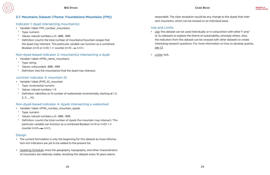## <span id="page-14-0"></span>3.7. Mountains Dataset (Theme: Foundations-Mountains [FM])

#### Indicator 1: dyad intersecting mountain(s)

- Variable 1 label: FM1\_number\_mountains
- \* Type: numeric
- Values: natural numbers ≥ 0; -888, -999
- Definition: counts the total number of mountains/mountain ranges that the dyad may intersect. This particular variable can function as a combined Boolean (n=0 or n>0) + n' counter (n>0  $\rightarrow$  n=n').

- Variable 1 label: nFM2\_name\_mountains
- \* Type: string
- \* Values: unbounded; -888, -999
- Definition: lists the mountain(s) that the dyad may intersect.

- Variable 1 label: jFM3\_ID\_mountain
- \* Type: incremental numeric
- \* Values: natural numbers > 0
- \* Definition: identifies an N number of watersheds incrementally, starting at 1 (1, 2, 3, …, N).

#### Non-dyad-based indicator 2: mountain(s) intersecting a dyad

- Variable 1 label: nFM4\_number\_mountain\_dyads
- Type: numeric
- Values: natural numbers ≥ 0; -888, -999
- Definition: counts the total number of dyads the mountain may intersect. This particular variable can function as a combined Boolean (n=0 or n>0) + n' counter ( $n>0 \rightarrow n=n'$ ).

#### Junction indicator 3: mountain ID

#### Non-dyad-based indicator 4: dyads intersecting a watershed

#### Design

- The current formulation is only the beginning for this dataset as more information-rich indicators are yet to be added to the present list.
- Updating Schedule: since the geography, topography, and other characteristics of mountains are relatively stable, revisiting this dataset every 10 years seems

reasonable. The clear exception would be any change to the dyads that intersect mountains, which can be revised on an individual basis.

## Use and Limits

• Use: this dataset can be used individually or in conjunction with other F and/ or Su-datasets to explore the theme of sustainability, amongst others. Also, the indicators from this dataset can be crossed with other datasets to create interesting research questions. For more information on how to develop queries,

see 1.3.

• Limits: N/A.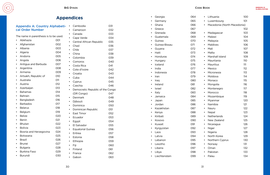#### <span id="page-15-0"></span>Appendix A: Country Alphabeti cal Order Number

The name in parenthesis is to be used.

• Abkhazia 001 • Afghanistan 002 • Albania 003 • Algeria 004 • Andorra 005 • Angola 006 • Antigua and Barbuda 007 • Argentina 008 • Armenia 009 • Artsakh, Republic of 010 • Australia 011 • Austria 012 • Azerbaijan 013 • Bahamas 014 • Bahrain 015 • Bangladesh 016 • Barbados 017 • Belarus 018 • Belgium 019 • Belize 020 • Benin 021 • Bhutan 022 • Bolivia 023 • Bosnia and Herzegovina 024 • Botswana 025 • Brazil 026 • Brunei 027 • Bulgaria 028 • Burkina Faso 029 • Burundi 030

| <b>BIG DYADS</b>                              |     |                            |     | <b>CODE BOOK</b>          |
|-----------------------------------------------|-----|----------------------------|-----|---------------------------|
| <b>pendices</b>                               |     | Georgia<br>$\bullet$       | 064 | – Li<br>$\bullet$         |
|                                               |     | Germany<br>$\bullet$       | 065 | -Li                       |
| i-<br>Cambodia<br>$\bullet$                   | 031 | Ghana<br>$\bullet$         | 066 | M                         |
| Cameroon<br>$\bullet$                         | 032 | Greece<br>$\bullet$        | 067 |                           |
| Canada<br>$\bullet$                           | 033 | Grenada<br>$\bullet$       | 068 | M                         |
| Cape Verde<br>$\bullet$                       | 034 | Guatemala<br>$\bullet$     | 069 | $\mathsf{M}$              |
| Central African Republic<br>$\bullet$         | 035 | Guinea<br>$\bullet$        | 070 | M                         |
| Chad<br>$\bullet$                             | 036 | Guinea-Bissau<br>$\bullet$ | 071 | M                         |
| Chile<br>$\bullet$                            | 037 | Guyana<br>$\bullet$        | 072 | M                         |
| China<br>$\bullet$                            | 038 | Haiti<br>$\bullet$         | 073 | M                         |
| Colombia<br>$\bullet$                         | 039 | Honduras<br>$\bullet$      | 074 | M                         |
| Comoros<br>$\bullet$                          | 040 | Hungary<br>$\bullet$       | 075 | M<br>$\bullet$            |
| Costa Rica<br>$\bullet$                       | 041 | Iceland<br>$\bullet$       | 076 | M                         |
| Cote d'Ivoire<br>$\bullet$                    | 042 | India<br>$\bullet$         | 077 | M<br>$\bullet$            |
| Croatia<br>$\bullet$                          | 043 | Indonesia<br>$\bullet$     | 078 | M                         |
| Cuba<br>$\bullet$                             | 044 | Iran<br>$\bullet$          | 079 | M<br>$\bullet$            |
| Cyprus<br>$\bullet$                           | 045 | Iraq<br>$\bullet$          | 080 | M                         |
| Czechia<br>$\bullet$                          | 046 | Ireland<br>$\bullet$       | 081 | M<br>$\bullet$            |
| Democratic Republic of the Congo<br>$\bullet$ |     | Israel<br>$\bullet$        | 082 | M                         |
| (DR Congo)                                    | 047 | Italy<br>$\bullet$         | 083 | M<br>$\bullet$            |
| Denmark<br>$\bullet$                          | 048 | Jamaica<br>$\bullet$       | 084 | M                         |
| Djibouti<br>$\bullet$                         | 049 | Japan<br>$\bullet$         | 085 | M<br>$\bullet$            |
| Dominica                                      | 050 | Jordan<br>٠                | 086 | N<br>$\bullet$            |
| Dominican Republic<br>$\bullet$               | 051 | Kazakhstan<br>$\bullet$    | 087 | $\mathsf{N}$<br>$\bullet$ |
| East Timor<br>$\bullet$                       | 052 | Kenya<br>$\bullet$         | 088 | N<br>$\bullet$            |
| Ecuador<br>$\bullet$                          | 053 | Kiribati<br>$\bullet$      | 089 | N<br>$\bullet$            |
| Egypt<br>$\bullet$                            | 054 | Kosovo<br>$\bullet$        | 090 | N<br>$\bullet$            |
| El Salvador<br>$\bullet$                      | 055 | Kuwait<br>$\bullet$        | 091 | N<br>$\bullet$            |
| <b>Equatorial Guinea</b><br>$\bullet$         | 056 | Kyrgyzstan<br>$\bullet$    | 092 | N<br>٠                    |
| Eritrea<br>$\bullet$                          | 057 | Laos<br>$\bullet$          | 093 | N<br>$\bullet$            |
| Estonia<br>$\bullet$                          | 058 | Latvia<br>$\bullet$        | 094 | N<br>$\bullet$            |
| Ethiopia<br>$\bullet$                         | 059 | Lebanon<br>$\bullet$       | 095 | N<br>$\bullet$            |
| Fiji<br>$\bullet$                             | 060 | Lesotho<br>$\bullet$       | 096 | N<br>$\bullet$            |
| Finland<br>$\bullet$                          | 061 | Liberia<br>$\bullet$       | 097 | $\circ$                   |
| France<br>$\bullet$                           | 062 | Libya<br>$\bullet$         | 098 | $\mathsf{P}$<br>$\bullet$ |
| Gabon<br>$\bullet$                            | 063 | Liechtenstein<br>$\bullet$ | 099 | $\mathsf{P}$<br>$\bullet$ |
| 30                                            |     |                            |     | 31                        |

| Cambodia                         | 031 |
|----------------------------------|-----|
| Cameroon                         | 032 |
| Canada                           | 033 |
| Cape Verde                       | 034 |
| Central African Republic         | 035 |
| Chad                             | 036 |
| Chile                            | 037 |
| China                            | 038 |
| Colombia                         | 039 |
| Comoros                          | 040 |
| Costa Rica                       | 041 |
| Cote d'Ivoire                    | 042 |
| Croatia                          | 043 |
| Cuba                             | 044 |
| Cyprus                           | 045 |
| Czechia                          | 046 |
| Democratic Republic of the Congo |     |
| (DR Congo)                       | 047 |
| Denmark                          | 048 |
| Djibouti                         | 049 |
| Dominica                         | 050 |
| Dominican Republic               | 051 |
| East Timor                       | 052 |
| Ecuador                          | 053 |
| Egypt                            | 054 |
| El Salvador                      | 055 |
| <b>Equatorial Guinea</b>         | 056 |
| Eritrea                          | 057 |
| Estonia                          | 058 |
| Ethiopia                         | 059 |
| Fiji                             | 060 |
| Finland                          | 061 |
| France                           | 062 |
| Gabon                            | 063 |

## **Appendices**

| Lithuania                   | 100        |
|-----------------------------|------------|
| Luxembourg                  | 101        |
| Macedonia (North Macedonia) |            |
|                             | 102        |
| Madagascar                  | 103        |
| Malawi                      | 104        |
| Malaysia                    | 105        |
| <b>Maldives</b>             | 106        |
| Mali                        | 107        |
| Malta                       | 108        |
| Marshall Island             | 109        |
| Mauritania                  | <b>110</b> |
| <b>Mauritius</b>            | 111        |
| Mexico                      | 112        |
| Micronesia                  | 113        |
| Moldova                     | 114        |
| Monaco                      | 115        |
| Mongolia                    | 116        |
| Montenegro                  | 117        |
| Morocco                     | 118        |
| Mozambique                  | 119        |
| Myanmar                     | 120        |
| Namibia                     | 121        |
| Nauru                       | 122        |
| Nepal                       | 123        |
| Netherlands                 | 124        |
| New Zealand                 | 125        |
| Nicaragua                   | 126        |
| Niger                       | 127        |
| Nigeria                     | 128        |
| North Korea                 | 129        |
| Northern Cyprus             | 130        |
| Norway                      | 131        |
| Oman                        | 132        |
| Pakistan                    | 133        |
| Palau                       | 134        |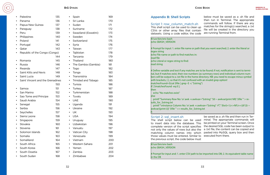<span id="page-16-0"></span>

#### **BIG DYADS** d

| Palestine                        | 135 |
|----------------------------------|-----|
| Panama                           | 136 |
| Papua New Guinea                 | 137 |
| Paraguay                         | 138 |
| Peru                             | 139 |
| Philippines                      | 140 |
| Poland                           | 141 |
| Portugal                         | 142 |
| Qatar                            | 143 |
| Republic of the Congo (Congo)    |     |
|                                  | 144 |
| Romania                          | 145 |
| Russia                           | 146 |
| Rwanda                           | 147 |
| Saint Kitts and Nevis            | 148 |
| Saint Lucia                      | 149 |
| Saint Vincent and the Grenadines |     |
|                                  | 150 |
| Samoa                            | 151 |
| San Marino                       | 152 |
| Sao Tome and Principe            | 153 |
| Saudi Arabia                     | 154 |
| Senegal                          | 155 |
| Serbia                           | 156 |
| Seychelles                       | 157 |
| Sierra Leone                     | 158 |
| Singapore                        | 159 |
| Slovakia                         | 160 |
| Slovenia                         | 161 |
| Solomon Islands                  | 162 |
| Somalia                          | 163 |
| Somaliland                       | 164 |
| South Africa                     | 165 |
| South Korea                      | 166 |
| South Ossetia                    | 167 |
| South Sudan                      | 168 |

| Spain                | 169 |
|----------------------|-----|
| Sri Lanka            | 170 |
| Sudan                | 171 |
| Suriname             | 172 |
| Swaziland (Eswatini) | 173 |
| Sweden               | 174 |
| Switzerland          | 175 |
| Syria                | 176 |
| Taiwan               | 177 |
| Tajikistan           | 178 |
| Tanzania             | 179 |
| Thailand             | 180 |
| The Gambia (Gambia)  | 181 |
| Togo                 | 182 |
| Tonga                | 183 |
| Transnistria         | 184 |
| Trinidad and Tobago  | 185 |
| Tunisia              | 186 |
| Turkey               | 187 |
| Turkmenistan         | 188 |
| Tuvalu               | 189 |
| <b>UAE</b>           | 190 |
| Uganda               | 191 |
| Ukraine              | 192 |
| UK                   | 193 |
| <b>USA</b>           | 194 |
| Uruguay              | 195 |
| Uzbekistan           | 196 |
| Vanuatu              | 197 |
| Vatican City         | 198 |
| Venezuela            | 199 |
| Vietnam              | 200 |
| Western Sahara       | 201 |
| Yemen                | 202 |
| Zambia               | 203 |
| Zimbabwe             | 204 |
|                      |     |

#### Appendix B: Shell Scripts

# Define variable and test if any matches are to be found; if not, notification is sent to termi nal, but if matches exist, their row numbers (as summary rows) and individual column num e directory. NB: you need to escape minus symbol with an invalid grep option!

```
printf "Summary Row No: \n`awk -v awkvar="$string" '$0 ~ awkvar{print NR}' $file`" > re-
```

```
awkvar="$string" -F"," '{for(i=1;i<=NF;i++){if ($i \siming.txt
```
#### $\#$  Prompt for input and: 1. enter CSV path to be imported into DB; 2. its equivalent table name

#### Script 1: row\_column\_match.sh

This shell script can be used to clean u CSVs or other array files that contain datasets. Using a code editor, the code

|    | below must be saved as a .sh file and      |
|----|--------------------------------------------|
|    | then run in Terminal. The appropriate      |
|    | commands will follow. If there are any     |
| qı | matches for the string(s) searched, a .txt |
| in | file will be created in the directory you  |
| de | are running Terminal from.                 |
|    |                                            |

#### th that you want searched; 2. enter the literal or

Script 2: sql\_insert.sh The shell script below can be used to insert data into the database. This complete version of the script specifies the desired SQL code has been output to not only the values of rows but also the a .txt file, the content can be copied and matching column names into which those values must be entered. Similar to the previous script, the code below must be saved as a .sh file and then run in Ter sed minal. The appropriate commands will his be printed on your Terminal screen. Once pasted into MySQL query box and then executed from there.

| #!/usr/bin/env bash<br>echo \$BASH_VERSION                                                                                                                                                                                                                                                                                                   |
|----------------------------------------------------------------------------------------------------------------------------------------------------------------------------------------------------------------------------------------------------------------------------------------------------------------------------------------------|
| # Prompt for input: 1. enter file name or path th<br>regex string<br>echo File name or path to find matches in:<br>read file<br>echo Literal or regex string to find:<br>read string                                                                                                                                                         |
| # Define variable and test if any matches are to<br>nal, but if matches exist, their row numbers (as<br>bers will be output to a .txt file in the home dire<br>with brackets, [-], so that it's not confused with<br>matchesFound=\$(cat \$file   grep -E -c "\$string")<br>if [ \$matchesFound -eq 0 ];<br>then<br>echo "No matches exist." |
| else<br>printf "Summary Row No: \n`awk -v awkvar="<br>sults_for_\$string.txt<br>printf "\nInstance Column No: \n`awk -v awk\<br>awkvar){print i}}}' \$file`" >> results_for_\$string.t<br>fi                                                                                                                                                 |
| Script 2: sql_insert.sh<br>The shell script below can be used<br>to insert data into the database. This                                                                                                                                                                                                                                      |

#### #!/usr/bin/env bash echo \$BASH\_VERSION

in the DB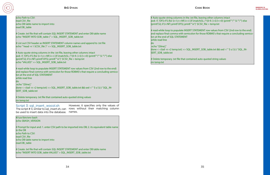Script 3: sql\_insert\_wocol.sh The script # 3, similar to sql\_insert.sh, can rows without their matching column be used to insert data into the database. names. However, it specifies only the values of

#### #!/usr/bin/env bash echo \$BASH\_VERSION

echo Path to CSV: read CSV file echo DB table name to import into: read DB\_table

# Prompt for input and: 1. enter CSV path to be imported into DB; 2. its equivalent table name in the DB echo Path to CSV: read CSV\_file echo DB table name to import into: read DB\_table

# Create .txt file that will contain SQL INSERT STATEMENT and enter DB table name echo "INSERT INTO \$DB\_table VALUES" > SQL\_INSERT\_\$DB\_table.txt

# Create .txt file that will contain SQL INSERT STATEMENT and enter DB table name echo "INSERT INTO \$DB\_table (" > SQL\_INSERT\_\$DB\_table.txt

done < <(tail -n +2 temp.txt) >> SQL\_INSERT\_\$DB\_table.txt && sed -i " '\$ s/.\$/;/' SQL\_IN-SERT\_\$DB\_table.txt

# List out CSV header as INSERT STATEMENT column names and append to .txt file echo "`head -n 1 \$CSV\_file`)" >> SQL\_INSERT\_\$DB\_table.txt

# Auto-quote string columns in the .txt file, leaving other columns intact awk -F, 'OFS=FS {for (i=1;i<=NF;i++) {if (match(\$i, /^[0-9.-]+\$/)==0) {printf "\"" \$i "\""} else {printf \$i}; if (i<NF) printf OFS}; printf "\n"}' \$CSV\_file > temp.txt echo "VALUES" >> SQL\_INSERT\_\$DB\_table.txt

# read-while loop to populate INSERT STATEMENT row values from CSV (2nd row to the end) and replace final comma with semicolon for those RDBMS's that require a concluding semicolon at the end of SQL STATEMENT while read line

do

echo "(\$line),"

# Delete temporary .txt file that contained auto-quoted string values rm temp.txt

# Auto-quote string columns in the .txt file, leaving other columns intact awk -F, 'OFS=FS {for (i=1;i<=NF;i++) {if (match(\$i, /^[0-9.-]+\$/)==0) {printf "\"" \$i "\""} else {printf \$i}; if (i<NF) printf OFS}; printf "\n"}' \$CSV\_file > temp.txt

# read-while loop to populate INSERT STATEMENT row values from CSV (2nd row to the end) and replace final comma with semicolon for those RDBMS's that require a concluding semicolon at the end of SQL STATEMENT while read line do echo "(\$line)," done < <(tail -n +2 temp.txt) >> SQL\_INSERT\_\$DB\_table.txt && sed -i '' '\$ s/.\$/;/' SQL\_IN-SERT\_\$DB\_table.txt

# Delete temporary .txt file that contained auto-quoted string values rm temp.txt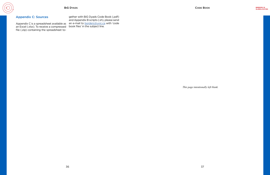#### <span id="page-18-0"></span>Appendix C: Sources

an Excel (.xlsx). To receive a compressed file (.zip) containing the spreadsheet to-

Appendix C is a spreadsheet available as an e-mail to **[borders@uvic.ca](mailto:borders%40uvic.ca?subject=)** with 'code gether with BiG Dyads Code Book (.pdf) and Appendix B scripts (.sh), please send book files' in the subject line.

*This page intentionally left blank.*